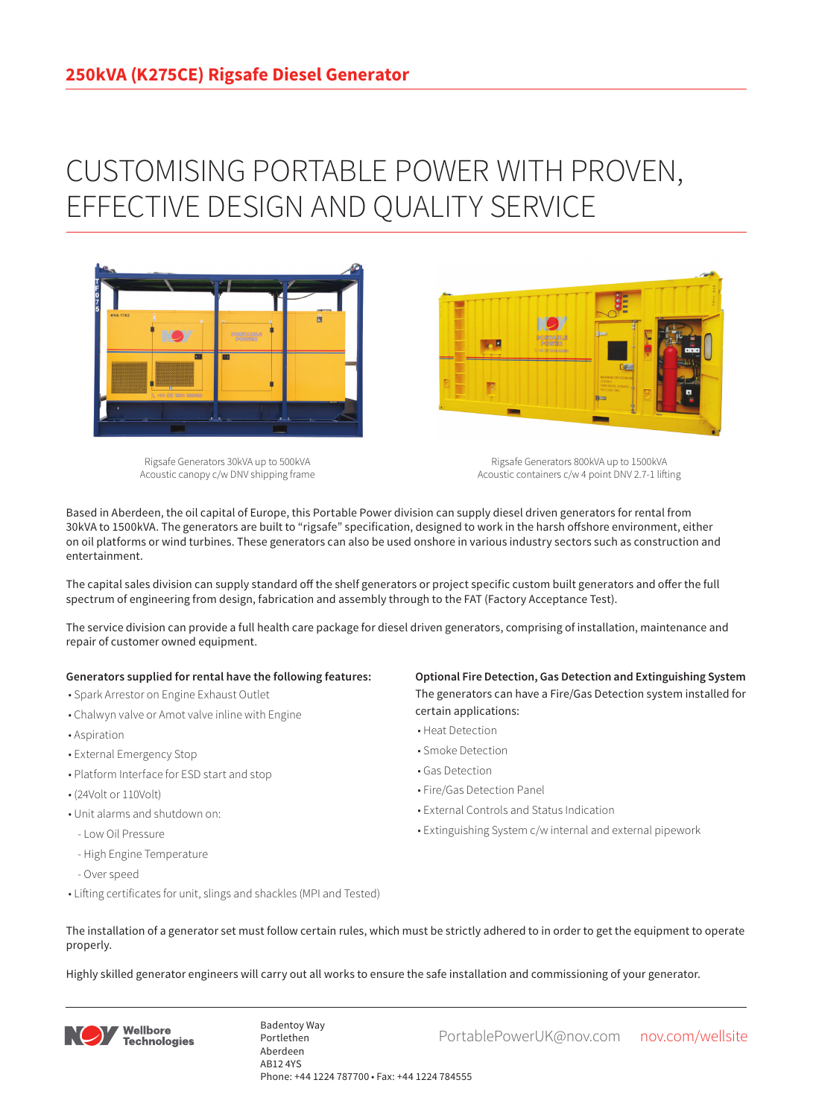## CUSTOMISING PORTABLE POWER WITH PROVEN, EFFECTIVE DESIGN AND QUALITY SERVICE



Rigsafe Generators 30kVA up to 500kVA Acoustic canopy c/w DNV shipping frame

Rigsafe Generators 800kVA up to 1500kVA Acoustic containers c/w 4 point DNV 2.7-1 lifting

Based in Aberdeen, the oil capital of Europe, this Portable Power division can supply diesel driven generators for rental from 30kVA to 1500kVA. The generators are built to "rigsafe" specification, designed to work in the harsh offshore environment, either on oil platforms or wind turbines. These generators can also be used onshore in various industry sectors such as construction and entertainment.

The capital sales division can supply standard off the shelf generators or project specific custom built generators and offer the full spectrum of engineering from design, fabrication and assembly through to the FAT (Factory Acceptance Test).

The service division can provide a full health care package for diesel driven generators, comprising of installation, maintenance and repair of customer owned equipment.

## **Generators supplied for rental have the following features:**

- Spark Arrestor on Engine Exhaust Outlet
- Chalwyn valve or Amot valve inline with Engine
- Aspiration
- External Emergency Stop
- Platform Interface for ESD start and stop
- (24Volt or 110Volt)
- Unit alarms and shutdown on:
- Low Oil Pressure
- High Engine Temperature
- Over speed
- Lifting certificates for unit, slings and shackles (MPI and Tested)

**Optional Fire Detection, Gas Detection and Extinguishing System** The generators can have a Fire/Gas Detection system installed for certain applications:

- Heat Detection
- Smoke Detection
- Gas Detection
- Fire/Gas Detection Panel

**Designation** 

- External Controls and Status Indication
- Extinguishing System c/w internal and external pipework
- The installation of a generator set must follow certain rules, which must be strictly adhered to in order to get the equipment to operate properly.

Highly skilled generator engineers will carry out all works to ensure the safe installation and commissioning of your generator.



Badentoy Way<br>PortablePowerUK@nov.com nov.com/wellsite Portlethen Aberdeen AB12 4YS Phone: +44 1224 787700 • Fax: +44 1224 784555